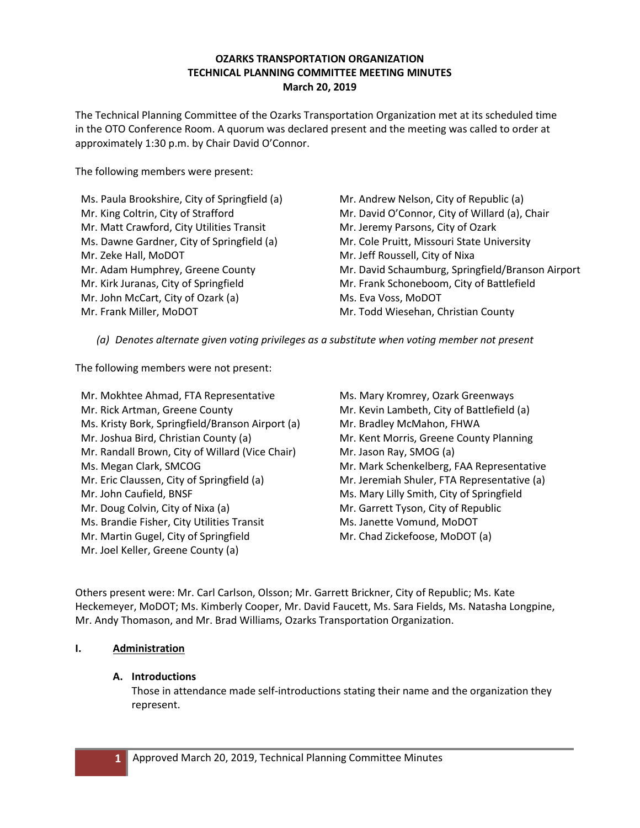## **OZARKS TRANSPORTATION ORGANIZATION TECHNICAL PLANNING COMMITTEE MEETING MINUTES March 20, 2019**

The Technical Planning Committee of the Ozarks Transportation Organization met at its scheduled time in the OTO Conference Room. A quorum was declared present and the meeting was called to order at approximately 1:30 p.m. by Chair David O'Connor.

The following members were present:

Ms. Paula Brookshire, City of Springfield (a) Mr. King Coltrin, City of Strafford Mr. Matt Crawford, City Utilities Transit Ms. Dawne Gardner, City of Springfield (a) Mr. Zeke Hall, MoDOT Mr. Adam Humphrey, Greene County Mr. Kirk Juranas, City of Springfield Mr. John McCart, City of Ozark (a) Mr. Frank Miller, MoDOT

Mr. Andrew Nelson, City of Republic (a) Mr. David O'Connor, City of Willard (a), Chair Mr. Jeremy Parsons, City of Ozark Mr. Cole Pruitt, Missouri State University Mr. Jeff Roussell, City of Nixa Mr. David Schaumburg, Springfield/Branson Airport Mr. Frank Schoneboom, City of Battlefield Ms. Eva Voss, MoDOT Mr. Todd Wiesehan, Christian County

*(a) Denotes alternate given voting privileges as a substitute when voting member not present*

The following members were not present:

Mr. Mokhtee Ahmad, FTA Representative Mr. Rick Artman, Greene County Ms. Kristy Bork, Springfield/Branson Airport (a) Mr. Joshua Bird, Christian County (a) Mr. Randall Brown, City of Willard (Vice Chair) Ms. Megan Clark, SMCOG Mr. Eric Claussen, City of Springfield (a) Mr. John Caufield, BNSF Mr. Doug Colvin, City of Nixa (a) Ms. Brandie Fisher, City Utilities Transit Mr. Martin Gugel, City of Springfield Mr. Joel Keller, Greene County (a)

Ms. Mary Kromrey, Ozark Greenways Mr. Kevin Lambeth, City of Battlefield (a) Mr. Bradley McMahon, FHWA Mr. Kent Morris, Greene County Planning Mr. Jason Ray, SMOG (a) Mr. Mark Schenkelberg, FAA Representative Mr. Jeremiah Shuler, FTA Representative (a) Ms. Mary Lilly Smith, City of Springfield Mr. Garrett Tyson, City of Republic Ms. Janette Vomund, MoDOT Mr. Chad Zickefoose, MoDOT (a)

Others present were: Mr. Carl Carlson, Olsson; Mr. Garrett Brickner, City of Republic; Ms. Kate Heckemeyer, MoDOT; Ms. Kimberly Cooper, Mr. David Faucett, Ms. Sara Fields, Ms. Natasha Longpine, Mr. Andy Thomason, and Mr. Brad Williams, Ozarks Transportation Organization.

## **I. Administration**

## **A. Introductions**

Those in attendance made self-introductions stating their name and the organization they represent.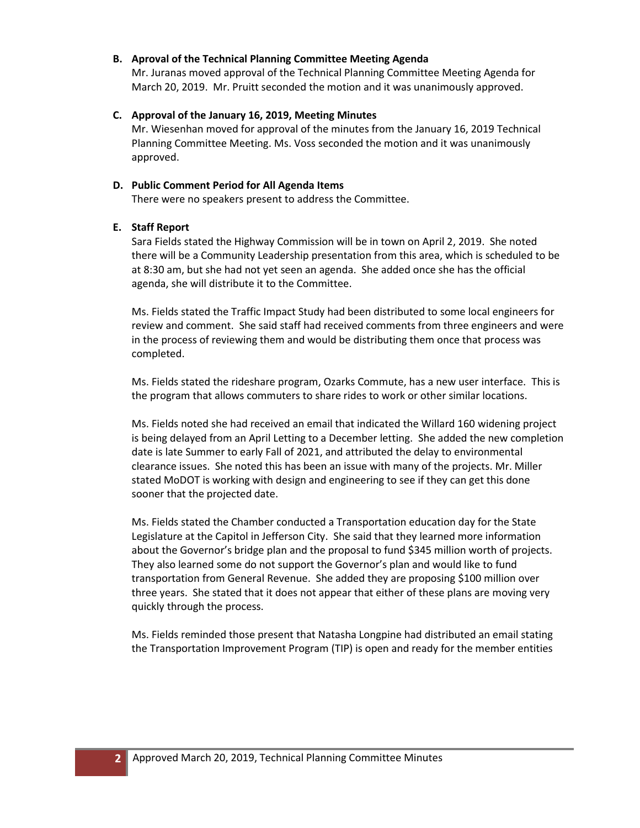#### **B. Aproval of the Technical Planning Committee Meeting Agenda**

Mr. Juranas moved approval of the Technical Planning Committee Meeting Agenda for March 20, 2019. Mr. Pruitt seconded the motion and it was unanimously approved.

**C. Approval of the January 16, 2019, Meeting Minutes**

Mr. Wiesenhan moved for approval of the minutes from the January 16, 2019 Technical Planning Committee Meeting. Ms. Voss seconded the motion and it was unanimously approved.

## **D. Public Comment Period for All Agenda Items**

There were no speakers present to address the Committee.

## **E. Staff Report**

Sara Fields stated the Highway Commission will be in town on April 2, 2019. She noted there will be a Community Leadership presentation from this area, which is scheduled to be at 8:30 am, but she had not yet seen an agenda. She added once she has the official agenda, she will distribute it to the Committee.

Ms. Fields stated the Traffic Impact Study had been distributed to some local engineers for review and comment. She said staff had received comments from three engineers and were in the process of reviewing them and would be distributing them once that process was completed.

Ms. Fields stated the rideshare program, Ozarks Commute, has a new user interface. This is the program that allows commuters to share rides to work or other similar locations.

Ms. Fields noted she had received an email that indicated the Willard 160 widening project is being delayed from an April Letting to a December letting. She added the new completion date is late Summer to early Fall of 2021, and attributed the delay to environmental clearance issues. She noted this has been an issue with many of the projects. Mr. Miller stated MoDOT is working with design and engineering to see if they can get this done sooner that the projected date.

Ms. Fields stated the Chamber conducted a Transportation education day for the State Legislature at the Capitol in Jefferson City. She said that they learned more information about the Governor's bridge plan and the proposal to fund \$345 million worth of projects. They also learned some do not support the Governor's plan and would like to fund transportation from General Revenue. She added they are proposing \$100 million over three years. She stated that it does not appear that either of these plans are moving very quickly through the process.

Ms. Fields reminded those present that Natasha Longpine had distributed an email stating the Transportation Improvement Program (TIP) is open and ready for the member entities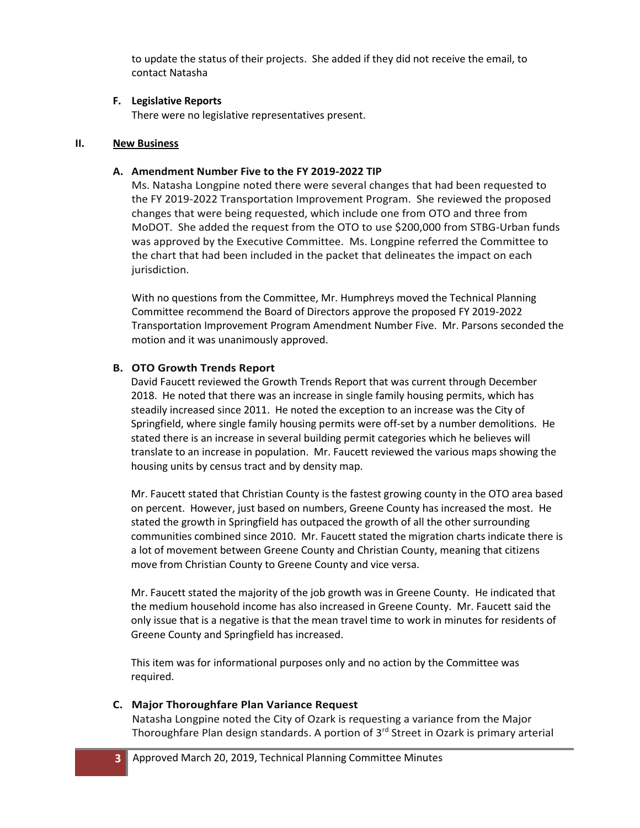to update the status of their projects. She added if they did not receive the email, to contact Natasha

## **F. Legislative Reports**

There were no legislative representatives present.

## **II. New Business**

## **A. Amendment Number Five to the FY 2019-2022 TIP**

Ms. Natasha Longpine noted there were several changes that had been requested to the FY 2019-2022 Transportation Improvement Program. She reviewed the proposed changes that were being requested, which include one from OTO and three from MoDOT. She added the request from the OTO to use \$200,000 from STBG-Urban funds was approved by the Executive Committee. Ms. Longpine referred the Committee to the chart that had been included in the packet that delineates the impact on each jurisdiction.

With no questions from the Committee, Mr. Humphreys moved the Technical Planning Committee recommend the Board of Directors approve the proposed FY 2019-2022 Transportation Improvement Program Amendment Number Five. Mr. Parsons seconded the motion and it was unanimously approved.

# **B. OTO Growth Trends Report**

David Faucett reviewed the Growth Trends Report that was current through December 2018. He noted that there was an increase in single family housing permits, which has steadily increased since 2011. He noted the exception to an increase was the City of Springfield, where single family housing permits were off-set by a number demolitions. He stated there is an increase in several building permit categories which he believes will translate to an increase in population. Mr. Faucett reviewed the various maps showing the housing units by census tract and by density map.

Mr. Faucett stated that Christian County is the fastest growing county in the OTO area based on percent. However, just based on numbers, Greene County has increased the most. He stated the growth in Springfield has outpaced the growth of all the other surrounding communities combined since 2010. Mr. Faucett stated the migration charts indicate there is a lot of movement between Greene County and Christian County, meaning that citizens move from Christian County to Greene County and vice versa.

Mr. Faucett stated the majority of the job growth was in Greene County. He indicated that the medium household income has also increased in Greene County. Mr. Faucett said the only issue that is a negative is that the mean travel time to work in minutes for residents of Greene County and Springfield has increased.

This item was for informational purposes only and no action by the Committee was required.

# **C. Major Thoroughfare Plan Variance Request**

Natasha Longpine noted the City of Ozark is requesting a variance from the Major Thoroughfare Plan design standards. A portion of 3<sup>rd</sup> Street in Ozark is primary arterial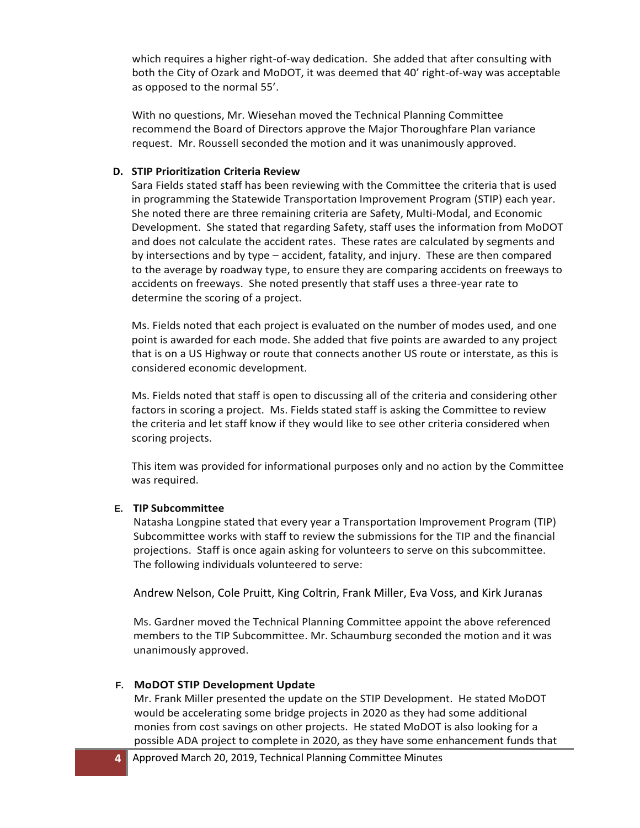which requires a higher right-of-way dedication. She added that after consulting with both the City of Ozark and MoDOT, it was deemed that 40' right-of-way was acceptable as opposed to the normal 55'.

With no questions, Mr. Wiesehan moved the Technical Planning Committee recommend the Board of Directors approve the Major Thoroughfare Plan variance request. Mr. Roussell seconded the motion and it was unanimously approved.

## **D. STIP Prioritization Criteria Review**

Sara Fields stated staff has been reviewing with the Committee the criteria that is used in programming the Statewide Transportation Improvement Program (STIP) each year. She noted there are three remaining criteria are Safety, Multi-Modal, and Economic Development. She stated that regarding Safety, staff uses the information from MoDOT and does not calculate the accident rates. These rates are calculated by segments and by intersections and by type – accident, fatality, and injury. These are then compared to the average by roadway type, to ensure they are comparing accidents on freeways to accidents on freeways. She noted presently that staff uses a three-year rate to determine the scoring of a project.

Ms. Fields noted that each project is evaluated on the number of modes used, and one point is awarded for each mode. She added that five points are awarded to any project that is on a US Highway or route that connects another US route or interstate, as this is considered economic development.

Ms. Fields noted that staff is open to discussing all of the criteria and considering other factors in scoring a project. Ms. Fields stated staff is asking the Committee to review the criteria and let staff know if they would like to see other criteria considered when scoring projects.

This item was provided for informational purposes only and no action by the Committee was required.

## **E. TIP Subcommittee**

Natasha Longpine stated that every year a Transportation Improvement Program (TIP) Subcommittee works with staff to review the submissions for the TIP and the financial projections. Staff is once again asking for volunteers to serve on this subcommittee. The following individuals volunteered to serve:

Andrew Nelson, Cole Pruitt, King Coltrin, Frank Miller, Eva Voss, and Kirk Juranas

Ms. Gardner moved the Technical Planning Committee appoint the above referenced members to the TIP Subcommittee. Mr. Schaumburg seconded the motion and it was unanimously approved.

# **F. MoDOT STIP Development Update**

Mr. Frank Miller presented the update on the STIP Development. He stated MoDOT would be accelerating some bridge projects in 2020 as they had some additional monies from cost savings on other projects. He stated MoDOT is also looking for a possible ADA project to complete in 2020, as they have some enhancement funds that